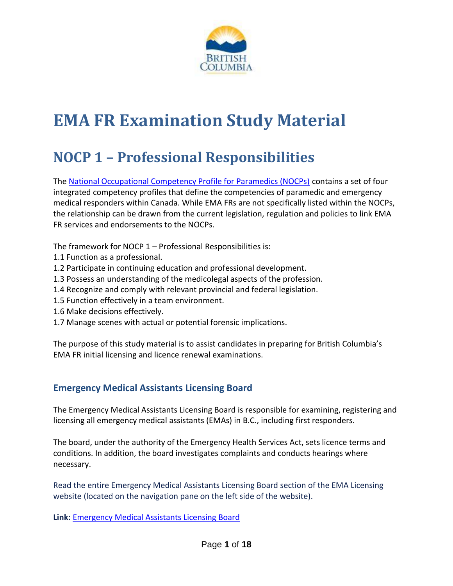

# **EMA FR Examination Study Material**

# **NOCP 1 – Professional Responsibilities**

The [National Occupational Competency Profile for Paramedics \(NOCPs\)](http://www.paramedic.ca/uploaded/web/documents/2011-10-31-Approved-NOCP-English-Master.pdf) contains a set of four integrated competency profiles that define the competencies of paramedic and emergency medical responders within Canada. While EMA FRs are not specifically listed within the NOCPs, the relationship can be drawn from the current legislation, regulation and policies to link EMA FR services and endorsements to the NOCPs.

The framework for NOCP 1 – Professional Responsibilities is:

- 1.1 Function as a professional.
- 1.2 Participate in continuing education and professional development.
- 1.3 Possess an understanding of the medicolegal aspects of the profession.
- 1.4 Recognize and comply with relevant provincial and federal legislation.
- 1.5 Function effectively in a team environment.
- 1.6 Make decisions effectively.
- 1.7 Manage scenes with actual or potential forensic implications.

The purpose of this study material is to assist candidates in preparing for British Columbia's EMA FR initial licensing and licence renewal examinations.

# **Emergency Medical Assistants Licensing Board**

The Emergency Medical Assistants Licensing Board is responsible for examining, registering and licensing all emergency medical assistants (EMAs) in B.C., including first responders.

The board, under the authority of the Emergency Health Services Act, sets licence terms and conditions. In addition, the board investigates complaints and conducts hearings where necessary.

Read the entire Emergency Medical Assistants Licensing Board section of the EMA Licensing website (located on the navigation pane on the left side of the website).

**Link:** [Emergency Medical Assistants Licensing Board](http://www2.gov.bc.ca/gov/topic.page?id=131564A4080C4A75ABCF2402689FB33D)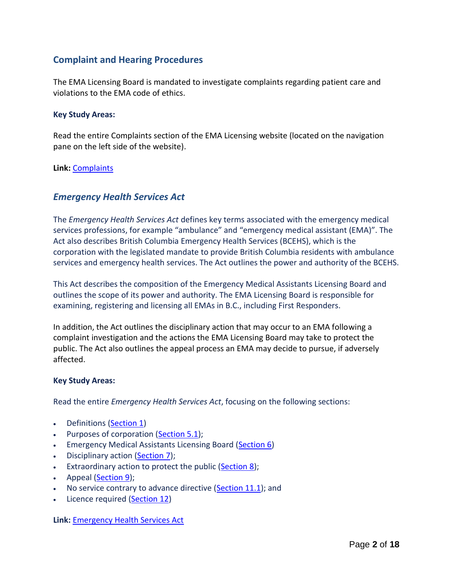# **Complaint and Hearing Procedures**

The EMA Licensing Board is mandated to investigate complaints regarding patient care and violations to the EMA code of ethics.

#### **Key Study Areas:**

Read the entire Complaints section of the EMA Licensing website (located on the navigation pane on the left side of the website).

#### **Link:** [Complaints](http://www2.gov.bc.ca/gov/topic.page?id=20294EE28EC940AB815F5476B97E5FD5)

## *Emergency Health Services Act*

The *Emergency Health Services Act* defines key terms associated with the emergency medical services professions, for example "ambulance" and "emergency medical assistant (EMA)". The Act also describes British Columbia Emergency Health Services (BCEHS), which is the corporation with the legislated mandate to provide British Columbia residents with ambulance services and emergency health services. The Act outlines the power and authority of the BCEHS.

This Act describes the composition of the Emergency Medical Assistants Licensing Board and outlines the scope of its power and authority. The EMA Licensing Board is responsible for examining, registering and licensing all EMAs in B.C., including First Responders.

In addition, the Act outlines the disciplinary action that may occur to an EMA following a complaint investigation and the actions the EMA Licensing Board may take to protect the public. The Act also outlines the appeal process an EMA may decide to pursue, if adversely affected.

#### **Key Study Areas:**

Read the entire *Emergency Health Services Act*, focusing on the following sections:

- Definitions [\(Section 1\)](http://www.bclaws.ca/EPLibraries/bclaws_new/document/ID/freeside/00_96182_01#section1)
- Purposes of corporation [\(Section 5.1\)](http://www.bclaws.ca/EPLibraries/bclaws_new/document/ID/freeside/00_96182_01#section5.1);
- **Emergency Medical Assistants Licensing Board [\(Section 6\)](http://www.bclaws.ca/EPLibraries/bclaws_new/document/ID/freeside/00_96182_01#section6)**
- Disciplinary action [\(Section](http://www.bclaws.ca/EPLibraries/bclaws_new/document/ID/freeside/00_96182_01#section7) 7);
- **Extraordinary action to protect the public [\(Section 8\)](http://www.bclaws.ca/EPLibraries/bclaws_new/document/ID/freeside/00_96182_01#section8);**
- Appeal [\(Section 9\)](http://www.bclaws.ca/EPLibraries/bclaws_new/document/ID/freeside/00_96182_01#section9);
- $\bullet$  No service contrary to advance directive [\(Section 11.1\)](http://www.bclaws.ca/EPLibraries/bclaws_new/document/ID/freeside/00_96182_01#section11.1); and
- Licence required [\(Section 12\)](http://www.bclaws.ca/EPLibraries/bclaws_new/document/ID/freeside/00_96182_01#section12)

**Link:** [Emergency Health Services Act](http://www.bclaws.ca/EPLibraries/bclaws_new/document/ID/freeside/00_96182_01)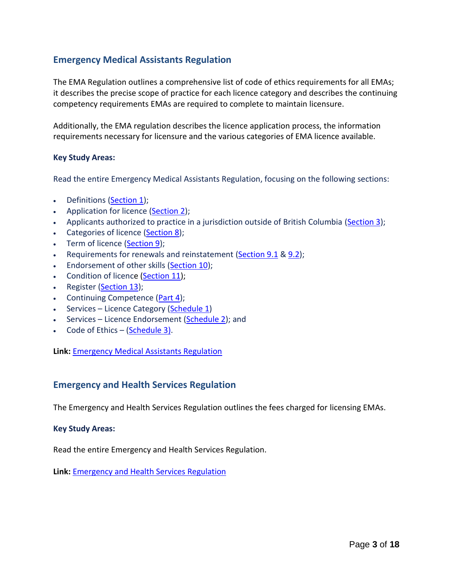# **Emergency Medical Assistants Regulation**

The EMA Regulation outlines a comprehensive list of code of ethics requirements for all EMAs; it describes the precise scope of practice for each licence category and describes the continuing competency requirements EMAs are required to complete to maintain licensure.

Additionally, the EMA regulation describes the licence application process, the information requirements necessary for licensure and the various categories of EMA licence available.

#### **Key Study Areas:**

Read the entire Emergency Medical Assistants Regulation, focusing on the following sections:

- Definitions [\(Section 1\)](http://www.bclaws.ca/EPLibraries/bclaws_new/document/ID/freeside/210_2010#section1);
- Application for licence [\(Section 2\)](http://www.bclaws.ca/EPLibraries/bclaws_new/document/ID/freeside/210_2010#section2);
- Applicants authorized to practice in a jurisdiction outside of British Columbia [\(Section 3\)](http://www.bclaws.ca/EPLibraries/bclaws_new/document/ID/freeside/210_2010#section3);
- Categories of licence [\(Section 8\)](http://www.bclaws.ca/EPLibraries/bclaws_new/document/ID/freeside/210_2010#section8);
- Term of licence [\(Section 9\)](http://www.bclaws.ca/EPLibraries/bclaws_new/document/ID/freeside/210_2010#section9);
- Requirements for renewals and reinstatement [\(Section 9.1](http://www.bclaws.ca/EPLibraries/bclaws_new/document/ID/freeside/210_2010#section9.1) [& 9.2\)](http://www.bclaws.ca/EPLibraries/bclaws_new/document/ID/freeside/210_2010#section9.2);
- **Endorsement of other skills [\(Section 10\)](http://www.bclaws.ca/EPLibraries/bclaws_new/document/ID/freeside/210_2010#section10);**
- Condition of licence [\(Section 11\)](http://www.bclaws.ca/EPLibraries/bclaws_new/document/ID/freeside/210_2010#section11);
- Register (**Section 13**);
- Continuing Competence [\(Part 4\)](http://www.bclaws.ca/EPLibraries/bclaws_new/document/ID/freeside/210_2010#part4);
- Services Licence Category [\(Schedule 1\)](http://www.bclaws.ca/EPLibraries/bclaws_new/document/ID/freeside/210_2010#Schedule1)
- Services Licence Endorsement [\(Schedule 2\)](http://www.bclaws.ca/EPLibraries/bclaws_new/document/ID/freeside/210_2010#Schedule2); and
- Code of Ethics [\(Schedule 3\)](http://www.bclaws.ca/EPLibraries/bclaws_new/document/ID/freeside/210_2010#Schedule3).

**Link:** [Emergency Medical Assistants Regulation](http://www.bclaws.ca/EPLibraries/bclaws_new/document/ID/freeside/210_2010)

#### **Emergency and Health Services Regulation**

The Emergency and Health Services Regulation outlines the fees charged for licensing EMAs.

#### **Key Study Areas:**

Read the entire Emergency and Health Services Regulation.

**Link:** [Emergency and Health Services Regulation](http://www.bclaws.ca/EPLibraries/bclaws_new/document/ID/freeside/471_74)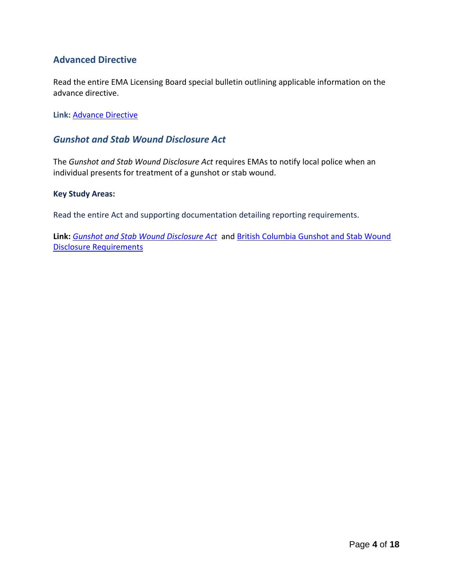# **Advanced Directive**

Read the entire EMA Licensing Board special bulletin outlining applicable information on the advance directive.

**Link:** [Advance Directive](http://www2.gov.bc.ca/gov/DownloadAsset?assetId=49EFF543DD4D47E6B214AF83466BF17A&filename=special-summer-bulletin-2011.pdf)

## *Gunshot and Stab Wound Disclosure Act*

The *Gunshot and Stab Wound Disclosure Act* requires EMAs to notify local police when an individual presents for treatment of a gunshot or stab wound.

#### **Key Study Areas:**

Read the entire Act and supporting documentation detailing reporting requirements.

**Link:** *[Gunshot and Stab Wound Disclosure Act](http://www.bclaws.ca/EPLibraries/bclaws_new/document/ID/freeside/00_10007_01)* and [British Columbia Gunshot and Stab Wound](http://www2.gov.bc.ca/gov/DownloadAsset?assetId=D8F63C28786F4F0CA6963B9C44F3732B&filename=gunshot-stab-wound-disclosure-act-public-qa.pdf)  [Disclosure Requirements](http://www2.gov.bc.ca/gov/DownloadAsset?assetId=D8F63C28786F4F0CA6963B9C44F3732B&filename=gunshot-stab-wound-disclosure-act-public-qa.pdf)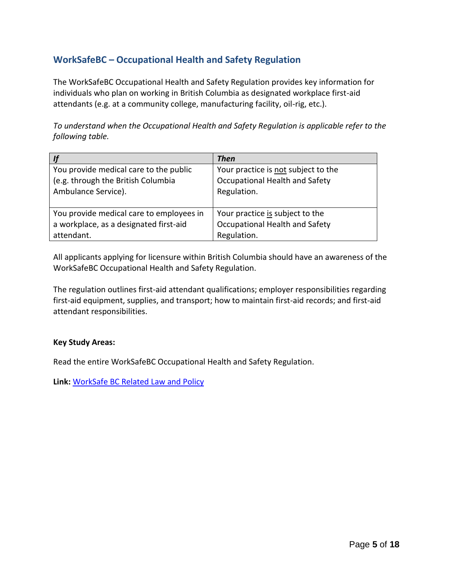# **WorkSafeBC – Occupational Health and Safety Regulation**

The WorkSafeBC Occupational Health and Safety Regulation provides key information for individuals who plan on working in British Columbia as designated workplace first-aid attendants (e.g. at a community college, manufacturing facility, oil-rig, etc.).

*To understand when the Occupational Health and Safety Regulation is applicable refer to the following table.* 

|                                          | <b>Then</b>                         |
|------------------------------------------|-------------------------------------|
| You provide medical care to the public   | Your practice is not subject to the |
| (e.g. through the British Columbia       | Occupational Health and Safety      |
| Ambulance Service).                      | Regulation.                         |
| You provide medical care to employees in | Your practice is subject to the     |
| a workplace, as a designated first-aid   | Occupational Health and Safety      |
| attendant.                               | Regulation.                         |

All applicants applying for licensure within British Columbia should have an awareness of the WorkSafeBC Occupational Health and Safety Regulation.

The regulation outlines first-aid attendant qualifications; employer responsibilities regarding first-aid equipment, supplies, and transport; how to maintain first-aid records; and first-aid attendant responsibilities.

#### **Key Study Areas:**

Read the entire WorkSafeBC Occupational Health and Safety Regulation.

**Link:** [WorkSafe BC Related Law and Policy](https://www.worksafebc.com/en/health-safety/education-training-certification/first-aid-attendant/law-policy)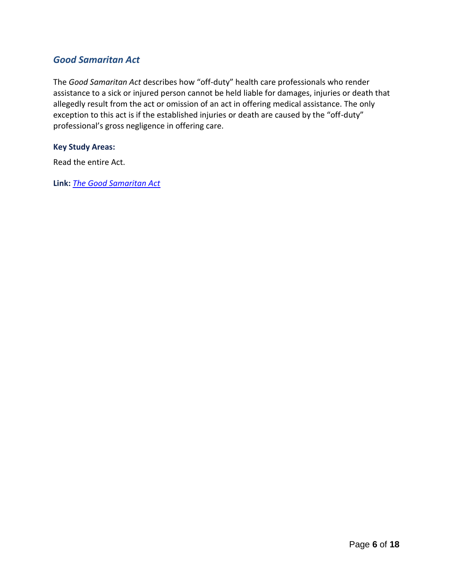# *Good Samaritan Act*

The *Good Samaritan Act* describes how "off-duty" health care professionals who render assistance to a sick or injured person cannot be held liable for damages, injuries or death that allegedly result from the act or omission of an act in offering medical assistance. The only exception to this act is if the established injuries or death are caused by the "off-duty" professional's gross negligence in offering care.

#### **Key Study Areas:**

Read the entire Act.

**Link:** *[The Good Samaritan Act](http://www.bclaws.ca/EPLibraries/bclaws_new/document/ID/freeside/00_96172_01)*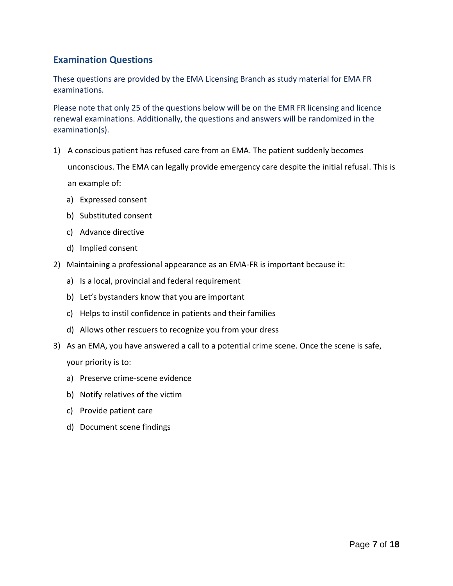# **Examination Questions**

These questions are provided by the EMA Licensing Branch as study material for EMA FR examinations.

Please note that only 25 of the questions below will be on the EMR FR licensing and licence renewal examinations. Additionally, the questions and answers will be randomized in the examination(s).

- 1) A conscious patient has refused care from an EMA. The patient suddenly becomes unconscious. The EMA can legally provide emergency care despite the initial refusal. This is an example of:
	- a) Expressed consent
	- b) Substituted consent
	- c) Advance directive
	- d) Implied consent
- 2) Maintaining a professional appearance as an EMA-FR is important because it:
	- a) Is a local, provincial and federal requirement
	- b) Let's bystanders know that you are important
	- c) Helps to instil confidence in patients and their families
	- d) Allows other rescuers to recognize you from your dress
- 3) As an EMA, you have answered a call to a potential crime scene. Once the scene is safe, your priority is to:
	- a) Preserve crime-scene evidence
	- b) Notify relatives of the victim
	- c) Provide patient care
	- d) Document scene findings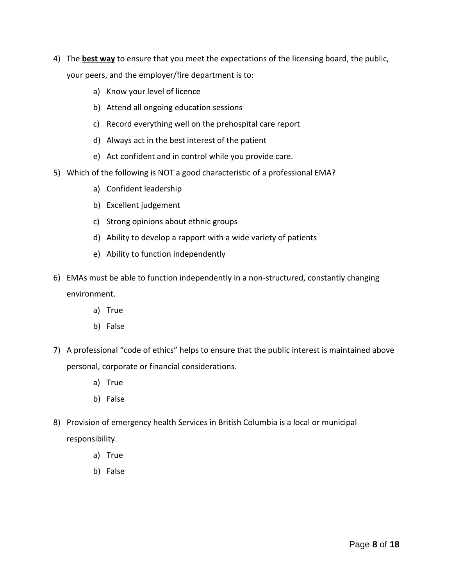- 4) The **best way** to ensure that you meet the expectations of the licensing board, the public, your peers, and the employer/fire department is to:
	- a) Know your level of licence
	- b) Attend all ongoing education sessions
	- c) Record everything well on the prehospital care report
	- d) Always act in the best interest of the patient
	- e) Act confident and in control while you provide care.
- 5) Which of the following is NOT a good characteristic of a professional EMA?
	- a) Confident leadership
	- b) Excellent judgement
	- c) Strong opinions about ethnic groups
	- d) Ability to develop a rapport with a wide variety of patients
	- e) Ability to function independently
- 6) EMAs must be able to function independently in a non-structured, constantly changing environment.
	- a) True
	- b) False
- 7) A professional "code of ethics" helps to ensure that the public interest is maintained above personal, corporate or financial considerations.
	- a) True
	- b) False
- 8) Provision of emergency health Services in British Columbia is a local or municipal responsibility.
	- a) True
	- b) False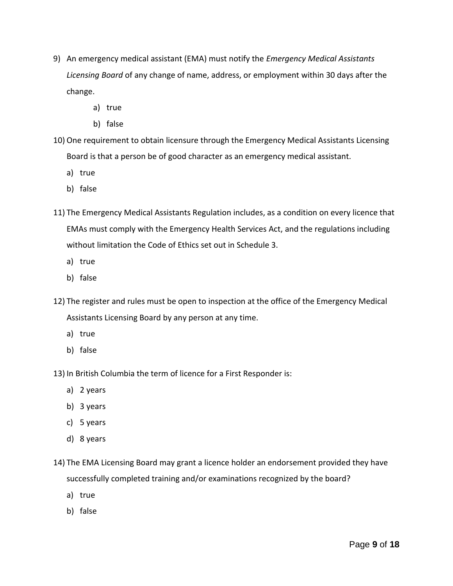- 9) An emergency medical assistant (EMA) must notify the *Emergency Medical Assistants Licensing Board* of any change of name, address, or employment within 30 days after the change.
	- a) true
	- b) false
- 10) One requirement to obtain licensure through the Emergency Medical Assistants Licensing Board is that a person be of good character as an emergency medical assistant.
	- a) true
	- b) false
- 11) The Emergency Medical Assistants Regulation includes, as a condition on every licence that EMAs must comply with the Emergency Health Services Act, and the regulations including without limitation the Code of Ethics set out in Schedule 3.
	- a) true
	- b) false
- 12) The register and rules must be open to inspection at the office of the Emergency Medical Assistants Licensing Board by any person at any time.
	- a) true
	- b) false
- 13) In British Columbia the term of licence for a First Responder is:
	- a) 2 years
	- b) 3 years
	- c) 5 years
	- d) 8 years
- 14) The EMA Licensing Board may grant a licence holder an endorsement provided they have successfully completed training and/or examinations recognized by the board?
	- a) true
	- b) false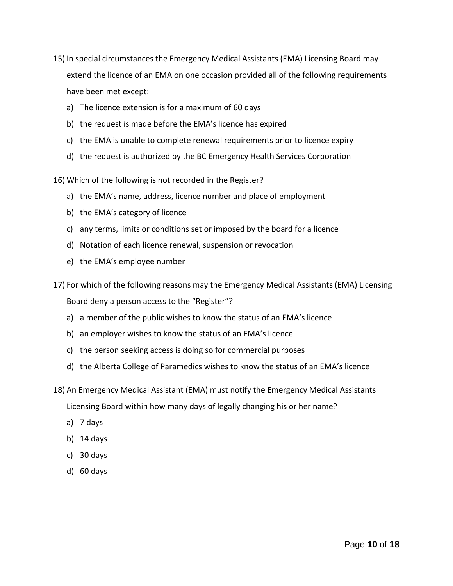- 15) In special circumstances the Emergency Medical Assistants (EMA) Licensing Board may extend the licence of an EMA on one occasion provided all of the following requirements have been met except:
	- a) The licence extension is for a maximum of 60 days
	- b) the request is made before the EMA's licence has expired
	- c) the EMA is unable to complete renewal requirements prior to licence expiry
	- d) the request is authorized by the BC Emergency Health Services Corporation
- 16) Which of the following is not recorded in the Register?
	- a) the EMA's name, address, licence number and place of employment
	- b) the EMA's category of licence
	- c) any terms, limits or conditions set or imposed by the board for a licence
	- d) Notation of each licence renewal, suspension or revocation
	- e) the EMA's employee number
- 17) For which of the following reasons may the Emergency Medical Assistants (EMA) Licensing Board deny a person access to the "Register"?
	- a) a member of the public wishes to know the status of an EMA's licence
	- b) an employer wishes to know the status of an EMA's licence
	- c) the person seeking access is doing so for commercial purposes
	- d) the Alberta College of Paramedics wishes to know the status of an EMA's licence
- 18) An Emergency Medical Assistant (EMA) must notify the Emergency Medical Assistants Licensing Board within how many days of legally changing his or her name?
	- a) 7 days
	- b) 14 days
	- c) 30 days
	- d) 60 days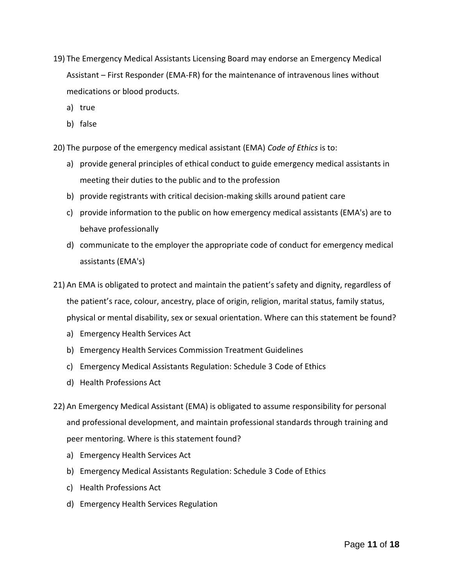- 19) The Emergency Medical Assistants Licensing Board may endorse an Emergency Medical Assistant – First Responder (EMA-FR) for the maintenance of intravenous lines without medications or blood products.
	- a) true
	- b) false

20) The purpose of the emergency medical assistant (EMA) *Code of Ethics* is to:

- a) provide general principles of ethical conduct to guide emergency medical assistants in meeting their duties to the public and to the profession
- b) provide registrants with critical decision-making skills around patient care
- c) provide information to the public on how emergency medical assistants (EMA's) are to behave professionally
- d) communicate to the employer the appropriate code of conduct for emergency medical assistants (EMA's)
- 21) An EMA is obligated to protect and maintain the patient's safety and dignity, regardless of the patient's race, colour, ancestry, place of origin, religion, marital status, family status, physical or mental disability, sex or sexual orientation. Where can this statement be found?
	- a) Emergency Health Services Act
	- b) Emergency Health Services Commission Treatment Guidelines
	- c) Emergency Medical Assistants Regulation: Schedule 3 Code of Ethics
	- d) Health Professions Act
- 22) An Emergency Medical Assistant (EMA) is obligated to assume responsibility for personal and professional development, and maintain professional standards through training and peer mentoring. Where is this statement found?
	- a) Emergency Health Services Act
	- b) Emergency Medical Assistants Regulation: Schedule 3 Code of Ethics
	- c) Health Professions Act
	- d) Emergency Health Services Regulation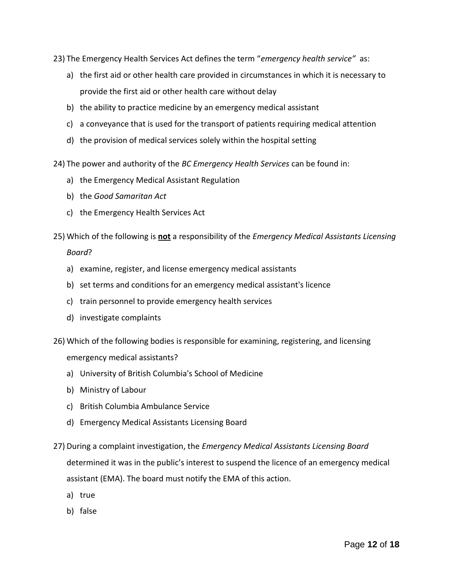23) The Emergency Health Services Act defines the term "*emergency health service"* as:

- a) the first aid or other health care provided in circumstances in which it is necessary to provide the first aid or other health care without delay
- b) the ability to practice medicine by an emergency medical assistant
- c) a conveyance that is used for the transport of patients requiring medical attention
- d) the provision of medical services solely within the hospital setting

24) The power and authority of the *BC Emergency Health Services* can be found in:

- a) the Emergency Medical Assistant Regulation
- b) the *Good Samaritan Act*
- c) the Emergency Health Services Act
- 25) Which of the following is **not** a responsibility of the *Emergency Medical Assistants Licensing Board*?
	- a) examine, register, and license emergency medical assistants
	- b) set terms and conditions for an emergency medical assistant's licence
	- c) train personnel to provide emergency health services
	- d) investigate complaints
- 26) Which of the following bodies is responsible for examining, registering, and licensing emergency medical assistants?
	- a) University of British Columbia's School of Medicine
	- b) Ministry of Labour
	- c) British Columbia Ambulance Service
	- d) Emergency Medical Assistants Licensing Board
- 27) During a complaint investigation, the *Emergency Medical Assistants Licensing Board* determined it was in the public's interest to suspend the licence of an emergency medical assistant (EMA). The board must notify the EMA of this action.
	- a) true
	- b) false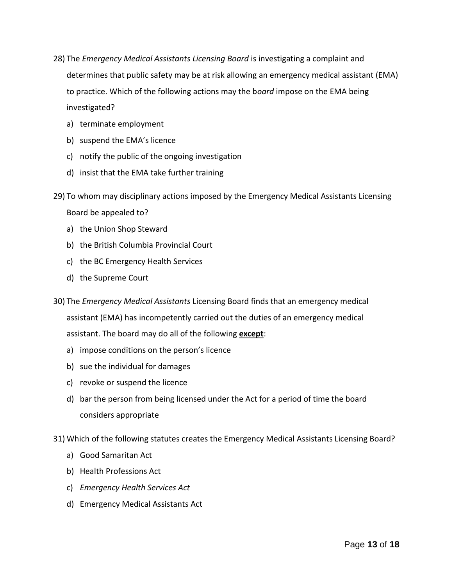- 28) The *Emergency Medical Assistants Licensing Board* is investigating a complaint and determines that public safety may be at risk allowing an emergency medical assistant (EMA) to practice. Which of the following actions may the b*oard* impose on the EMA being investigated?
	- a) terminate employment
	- b) suspend the EMA's licence
	- c) notify the public of the ongoing investigation
	- d) insist that the EMA take further training
- 29) To whom may disciplinary actions imposed by the Emergency Medical Assistants Licensing Board be appealed to?
	- a) the Union Shop Steward
	- b) the British Columbia Provincial Court
	- c) the BC Emergency Health Services
	- d) the Supreme Court
- 30) The *Emergency Medical Assistants* Licensing Board finds that an emergency medical assistant (EMA) has incompetently carried out the duties of an emergency medical assistant. The board may do all of the following **except**:
	- a) impose conditions on the person's licence
	- b) sue the individual for damages
	- c) revoke or suspend the licence
	- d) bar the person from being licensed under the Act for a period of time the board considers appropriate

31) Which of the following statutes creates the Emergency Medical Assistants Licensing Board?

- a) Good Samaritan Act
- b) Health Professions Act
- c) *Emergency Health Services Act*
- d) Emergency Medical Assistants Act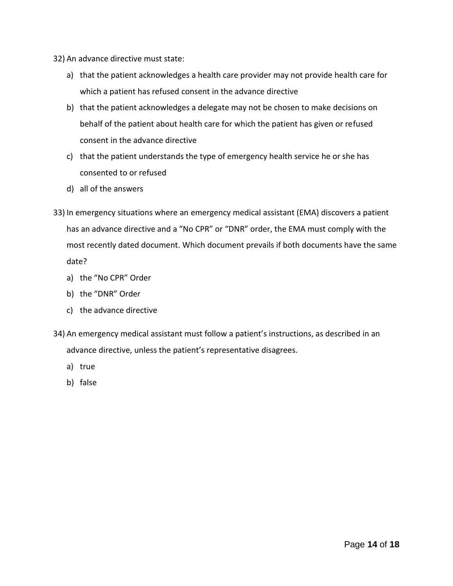- 32) An advance directive must state:
	- a) that the patient acknowledges a health care provider may not provide health care for which a patient has refused consent in the advance directive
	- b) that the patient acknowledges a delegate may not be chosen to make decisions on behalf of the patient about health care for which the patient has given or refused consent in the advance directive
	- c) that the patient understands the type of emergency health service he or she has consented to or refused
	- d) all of the answers
- 33) In emergency situations where an emergency medical assistant (EMA) discovers a patient has an advance directive and a "No CPR" or "DNR" order, the EMA must comply with the most recently dated document. Which document prevails if both documents have the same date?
	- a) the "No CPR" Order
	- b) the "DNR" Order
	- c) the advance directive
- 34) An emergency medical assistant must follow a patient's instructions, as described in an advance directive, unless the patient's representative disagrees.
	- a) true
	- b) false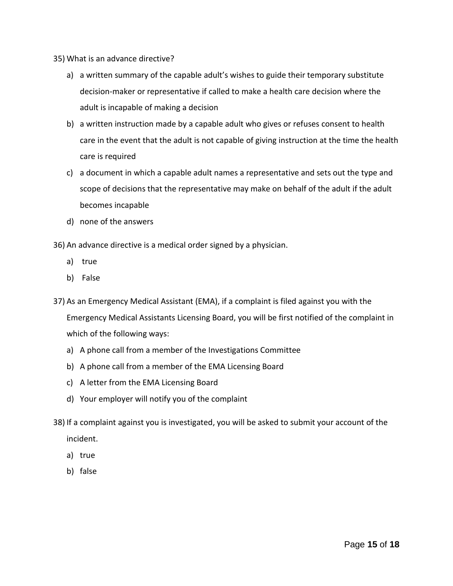- 35) What is an advance directive?
	- a) a written summary of the capable adult's wishes to guide their temporary substitute decision-maker or representative if called to make a health care decision where the adult is incapable of making a decision
	- b) a written instruction made by a capable adult who gives or refuses consent to health care in the event that the adult is not capable of giving instruction at the time the health care is required
	- c) a document in which a capable adult names a representative and sets out the type and scope of decisions that the representative may make on behalf of the adult if the adult becomes incapable
	- d) none of the answers
- 36) An advance directive is a medical order signed by a physician.
	- a) true
	- b) False
- 37) As an Emergency Medical Assistant (EMA), if a complaint is filed against you with the Emergency Medical Assistants Licensing Board, you will be first notified of the complaint in which of the following ways:
	- a) A phone call from a member of the Investigations Committee
	- b) A phone call from a member of the EMA Licensing Board
	- c) A letter from the EMA Licensing Board
	- d) Your employer will notify you of the complaint
- 38) If a complaint against you is investigated, you will be asked to submit your account of the incident.
	- a) true
	- b) false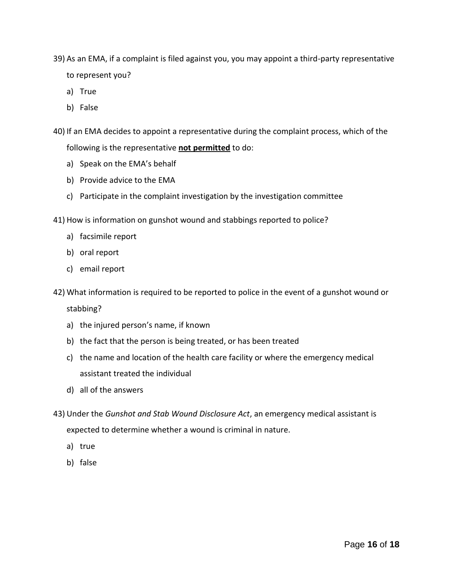- 39) As an EMA, if a complaint is filed against you, you may appoint a third-party representative to represent you?
	- a) True
	- b) False
- 40) If an EMA decides to appoint a representative during the complaint process, which of the following is the representative **not permitted** to do:
	- a) Speak on the EMA's behalf
	- b) Provide advice to the EMA
	- c) Participate in the complaint investigation by the investigation committee
- 41) How is information on gunshot wound and stabbings reported to police?
	- a) facsimile report
	- b) oral report
	- c) email report
- 42) What information is required to be reported to police in the event of a gunshot wound or

stabbing?

- a) the injured person's name, if known
- b) the fact that the person is being treated, or has been treated
- c) the name and location of the health care facility or where the emergency medical assistant treated the individual
- d) all of the answers
- 43) Under the *Gunshot and Stab Wound Disclosure Act*, an emergency medical assistant is expected to determine whether a wound is criminal in nature.
	- a) true
	- b) false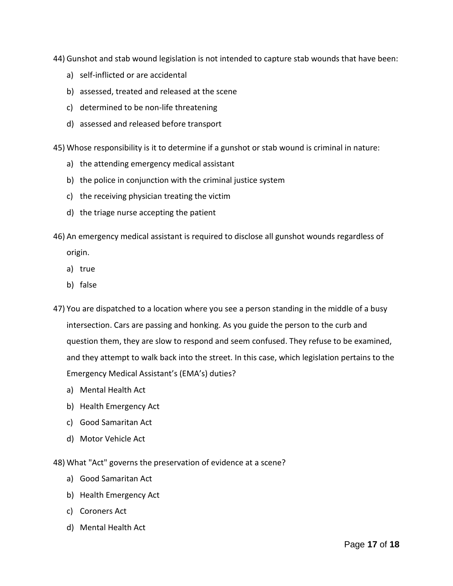44) Gunshot and stab wound legislation is not intended to capture stab wounds that have been:

- a) self-inflicted or are accidental
- b) assessed, treated and released at the scene
- c) determined to be non-life threatening
- d) assessed and released before transport

45) Whose responsibility is it to determine if a gunshot or stab wound is criminal in nature:

- a) the attending emergency medical assistant
- b) the police in conjunction with the criminal justice system
- c) the receiving physician treating the victim
- d) the triage nurse accepting the patient
- 46) An emergency medical assistant is required to disclose all gunshot wounds regardless of origin.
	- a) true
	- b) false
- 47) You are dispatched to a location where you see a person standing in the middle of a busy intersection. Cars are passing and honking. As you guide the person to the curb and question them, they are slow to respond and seem confused. They refuse to be examined, and they attempt to walk back into the street. In this case, which legislation pertains to the Emergency Medical Assistant's (EMA's) duties?
	- a) Mental Health Act
	- b) Health Emergency Act
	- c) Good Samaritan Act
	- d) Motor Vehicle Act

48) What "Act" governs the preservation of evidence at a scene?

- a) Good Samaritan Act
- b) Health Emergency Act
- c) Coroners Act
- d) Mental Health Act